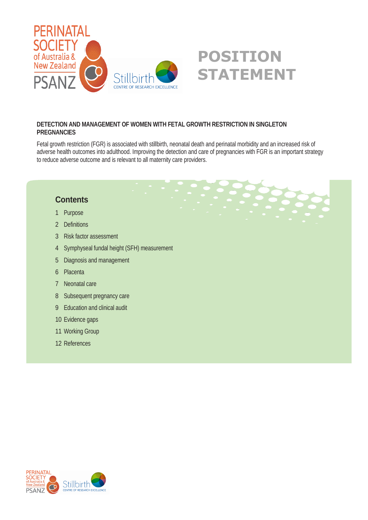

#### **DETECTION AND MANAGEMENT OF WOMEN WITH FETAL GROWTH RESTRICTION IN SINGLETON PREGNANCIES**

Fetal growth restriction (FGR) is associated with stillbirth, neonatal death and perinatal morbidity and an increased risk of adverse health outcomes into adulthood. Improving the detection and care of pregnancies with FGR is an important strategy to reduce adverse outcome and is relevant to all maternity care providers.

#### **Contents**

- 1 Purpose
- 2 Definitions
- 3 Risk factor assessment
- 4 Symphyseal fundal height (SFH) measurement
- 5 Diagnosis and management
- 6 Placenta
- 7 Neonatal care
- 8 Subsequent pregnancy care
- 9 Education and clinical audit
- 10 Evidence gaps
- 11 Working Group
- 12 References

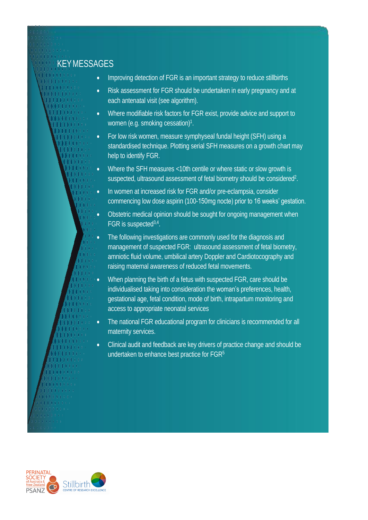### **KEYMESSAGES**

- . . . . . . 00000 0000000  $3.111111$ 0000000
- Improving detection of FGR is an important strategy to reduce stillbirths
- Risk assessment for FGR should be undertaken in early pregnancy and at each antenatal visit (see algorithm).
- Where modifiable risk factors for FGR exist, provide advice and support to women (e.g. smoking cessation)<sup>1</sup>.
- For low risk women, measure symphyseal fundal height (SFH) using a standardised technique. Plotting serial SFH measures on a growth chart may help to identify FGR.
- Where the SFH measures <10th centile or where static or slow growth is suspected, ultrasound assessment of fetal biometry should be considered<sup>2</sup>.
- In women at increased risk for FGR and/or pre-eclampsia, consider commencing low dose aspirin (100-150mg nocte) prior to 16 weeks' gestation.
- Obstetric medical opinion should be sought for ongoing management when FGR is suspected<sup>3,4</sup>.
- The following investigations are commonly used for the diagnosis and management of suspected FGR: ultrasound assessment of fetal biometry, amniotic fluid volume, umbilical artery Doppler and Cardiotocography and raising maternal awareness of reduced fetal movements.
- When planning the birth of a fetus with suspected FGR, care should be individualised taking into consideration the woman's preferences, health, gestational age, fetal condition, mode of birth, intrapartum monitoring and access to appropriate neonatal services
- The national FGR educational program for clinicians is recommended for all maternity services.
- Clinical audit and feedback are key drivers of practice change and should be undertaken to enhance best practice for FGR<sup>5</sup>

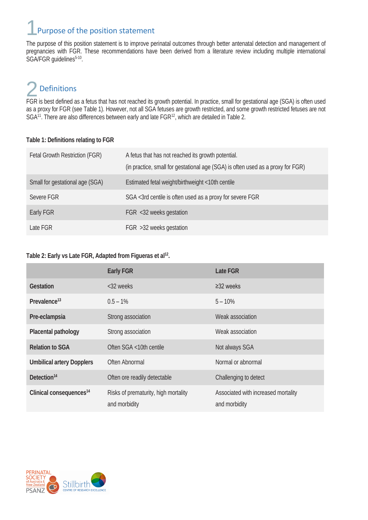## Purpose of the position statement

The purpose of this position statement is to improve perinatal outcomes through better antenatal detection and management of pregnancies with FGR. These recommendations have been derived from a literature review including multiple international SGA/FGR guidelines<sup>5-10</sup>.

## Definitions

posinitions<br>FGR is best defined as a fetus that has not reached its growth potential. In practice, small for gestational age (SGA) is often used as a proxy for FGR (see Table 1). However, not all SGA fetuses are growth restricted, and some growth restricted fetuses are not SGA<sup>11</sup>. There are also differences between early and late FGR<sup>12</sup>, which are detailed in Table 2.

#### **Table 1: Definitions relating to FGR**

| Fetal Growth Restriction (FGR)  | A fetus that has not reached its growth potential.<br>(in practice, small for gestational age (SGA) is often used as a proxy for FGR) |
|---------------------------------|---------------------------------------------------------------------------------------------------------------------------------------|
| Small for gestational age (SGA) | Estimated fetal weight/birthweight <10th centile                                                                                      |
| Severe FGR                      | SGA <3rd centile is often used as a proxy for severe FGR                                                                              |
| Early FGR                       | FGR <32 weeks gestation                                                                                                               |
| Late FGR                        | FGR >32 weeks gestation                                                                                                               |

#### **Table 2: Early vs Late FGR, Adapted from Figueras et al<sup>12</sup> .**

|                                     | <b>Early FGR</b>                                      | <b>Late FGR</b>                                      |
|-------------------------------------|-------------------------------------------------------|------------------------------------------------------|
| <b>Gestation</b>                    | <32 weeks                                             | $\geq$ 32 weeks                                      |
| Prevalence <sup>13</sup>            | $0.5 - 1%$                                            | $5 - 10\%$                                           |
| Pre-eclampsia                       | Strong association                                    | Weak association                                     |
| <b>Placental pathology</b>          | Strong association                                    | Weak association                                     |
| <b>Relation to SGA</b>              | Often SGA <10th centile                               | Not always SGA                                       |
| <b>Umbilical artery Dopplers</b>    | Often Abnormal                                        | Normal or abnormal                                   |
| Detection <sup>14</sup>             | Often ore readily detectable                          | Challenging to detect                                |
| Clinical consequences <sup>14</sup> | Risks of prematurity, high mortality<br>and morbidity | Associated with increased mortality<br>and morbidity |

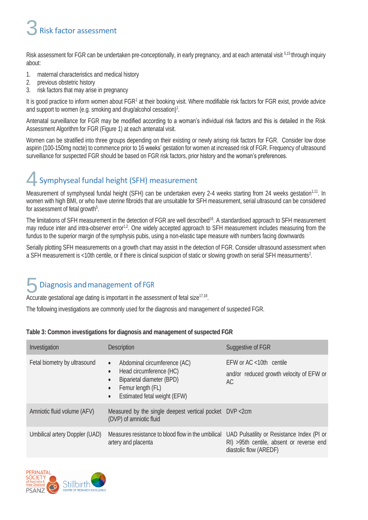### Risk factor assessment 3

Risk assessment for FGR can be undertaken pre-conceptionally, in early pregnancy, and at each antenatal visit 5,15 through inquiry about:

- 1. maternal characteristics and medical history
- 2. previous obstetric history
- 3. risk factors that may arise in pregnancy

It is good practice to inform women about FGR<sup>1</sup> at their booking visit. Where modifiable risk factors for FGR exist, provide advice and support to women (e.g. smoking and drug/alcohol cessation) $^{\text{1}}$ .

Antenatal surveillance for FGR may be modified according to a woman's individual risk factors and this is detailed in the Risk Assessment Algorithm for FGR (Figure 1) at each antenatal visit.

Women can be stratified into three groups depending on their existing or newly arising risk factors for FGR. Consider low dose aspirin (100-150mg nocte) to commence prior to 16 weeks' gestation for women at increased risk of FGR. Frequency of ultrasound surveillance for suspected FGR should be based on FGR risk factors, prior history and the woman's preferences.

### Symphyseal fundal height (SFH) measurement 4

Measurement of symphyseal fundal height (SFH) can be undertaken every 2-4 weeks starting from 24 weeks gestation<sup>1,11</sup>. In women with high BMI, or who have uterine fibroids that are unsuitable for SFH measurement, serial ultrasound can be considered for assessment of fetal growth<sup>5</sup>.

The limitations of SFH measurement in the detection of FGR are well described<sup>16</sup>. A standardised approach to SFH measurement may reduce inter and intra-observer error<sup>1,2</sup>. One widely accepted approach to SFH measurement includes measuring from the fundus to the superior margin of the symphysis pubis, using a non-elastic tape measure with numbers facing downwards

Serially plotting SFH measurements on a growth chart may assist in the detection of FGR. Consider ultrasound assessment when a SFH measurement is <10th centile, or if there is clinical suspicion of static or slowing growth on serial SFH measurments<sup>2</sup>.

### Diagnosis andmanagement of FGR Diagnosis and management of FGR<br>Accurate gestational age dating is important in the assessment of fetal size<sup>17,18</sup>.

The following investigations are commonly used for the diagnosis and management of suspected FGR.

| Table 3: Common investigations for diagnosis and management of suspected FGR |  |  |  |
|------------------------------------------------------------------------------|--|--|--|
|------------------------------------------------------------------------------|--|--|--|

| Investigation                  | <b>Description</b>                                                                                                                                                                                         | Suggestive of FGR                                                                                                |
|--------------------------------|------------------------------------------------------------------------------------------------------------------------------------------------------------------------------------------------------------|------------------------------------------------------------------------------------------------------------------|
| Fetal biometry by ultrasound   | Abdominal circumference (AC)<br>$\bullet$<br>Head circumference (HC)<br>$\bullet$<br>Biparietal diameter (BPD)<br>$\bullet$<br>Femur length (FL)<br>$\bullet$<br>Estimated fetal weight (EFW)<br>$\bullet$ | $EFW$ or $AC < 10$ th centile<br>and/or reduced growth velocity of EFW or<br>AC                                  |
| Amniotic fluid volume (AFV)    | Measured by the single deepest vertical pocket DVP <2cm<br>(DVP) of amniotic fluid                                                                                                                         |                                                                                                                  |
| Umbilical artery Doppler (UAD) | Measures resistance to blood flow in the umbilical<br>artery and placenta                                                                                                                                  | UAD Pulsatility or Resistance Index (PI or<br>RI) >95th centile, absent or reverse end<br>diastolic flow (AREDF) |

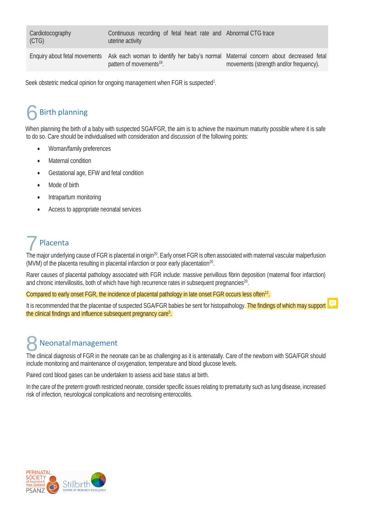**Cardiotocography** (CTG)

Continuous recording of fetal heart rate and Abnormal CTG trace uterine activity

pattern of movements<sup>19</sup>.

Enquiry about fetal movements Ask each woman to identify her baby's normal Maternal concern about decreased fetal movements (strength and/or frequency).

Seek obstetric medical opinion for ongoing management when FGR is suspected<sup>1</sup>.

### Birth planning 6

When planning the birth of a baby with suspected SGA/FGR, the aim is to achieve the maximum maturity possible where it is safe to do so. Care should be individualised with consideration and discussion of the following points:

- Woman/family preferences
- Maternal condition
- Gestational age, EFW and fetal condition
- Mode of birth
- Intrapartum monitoring
- Access to appropriate neonatal services

## Placenta

The major underlying cause of FGR is placental in origin<sup>20</sup>. Early onset FGR is often associated with maternal vascular malperfusion The major underlying cause of FGR is placental in origin<sup>20</sup>. Early onset FGR is often a (MVM) of the placenta resulting in placental infarction or poor early placentation<sup>20</sup>.

Rarer causes of placental pathology associated with FGR include: massive perivillous fibrin deposition (maternal floor infarction) and chronic intervillositis, both of which have high recurrence rates in subsequent pregnancies $^{20}$ .

Compared to early onset FGR, the incidence of placental pathology in late onset FGR occurs less often<sup>12</sup>.

It is recommended that the placentae of suspected SGA/FGR babies be sent for histopathology. The findings of which may support the clinical findings and influence subsequent pregnancy care<sup>5</sup>.

## Neonatalmanagement

**8** Neonatal management<br>The clinical diagnosis of FGR in the neonate can be as challenging as it is antenatally. Care of the newborn with SGA/FGR should include monitoring and maintenance of oxygenation, temperature and blood glucose levels.

Paired cord blood gases can be undertaken to assess acid base status at birth.

In the care of the preterm growth restricted neonate, consider specific issues relating to prematurity such as lung disease, increased risk of infection, neurological complications and necrotising enterocolitis.

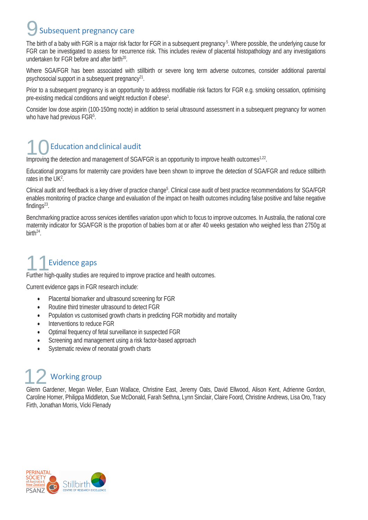### Subsequent pregnancy care 9

The birth of a baby with FGR is a major risk factor for FGR in a subsequent pregnancy °. Where possible, the underlying cause for FGR can be investigated to assess for recurrence risk. This includes review of placental histopathology and any investigations undertaken for FGR before and after birth $^{20}$ .

Where SGA/FGR has been associated with stillbirth or severe long term adverse outcomes, consider additional parental psychosocial support in a subsequent pregnancy<sup>21</sup>.

Prior to a subsequent pregnancy is an opportunity to address modifiable risk factors for FGR e.g. smoking cessation, optimising pre-existing medical conditions and weight reduction if obese<sup>1</sup>.

Consider low dose aspirin (100-150mg nocte) in addition to serial ultrasound assessment in a subsequent pregnancy for women who have had previous FGR<sup>5</sup>.

### Education andclinical audit

Improving the detection and management of SGA/FGR is an opportunity to improve health outcomes<sup>1,22</sup>.

Educational programs for maternity care providers have been shown to improve the detection of SGA/FGR and reduce stillbirth rates in the UK<sup>2</sup>.

Clinical audit and feedback is a key driver of practice change°. Clinical case audit of best practice recommendations for SGA/FGR enables monitoring of practice change and evaluation of the impact on health outcomes including false positive and false negative findings $^{23}$ .

Benchmarking practice across services identifies variation upon which to focus to improve outcomes. In Australia, the national core maternity indicator for SGA/FGR is the proportion of babies born at or after 40 weeks gestation who weighed less than 2750g at birth $^{24}$ .

## Evidence gaps

Further high-quality studies are required to improve practice and health outcomes. 11

Current evidence gaps in FGR research include:

- Placental biomarker and ultrasound screening for FGR
- Routine third trimester ultrasound to detect FGR
- Population vs customised growth charts in predicting FGR morbidity and mortality
- Interventions to reduce FGR
- Optimal frequency of fetal surveillance in suspected FGR
- Screening and management using a risk factor-based approach
- Systematic review of neonatal growth charts

### Working group 12

Glenn Gardener, Megan Weller, Euan Wallace, Christine East, Jeremy Oats, David Ellwood, Alison Kent, Adrienne Gordon, Caroline Homer, Philippa Middleton, Sue McDonald, Farah Sethna, Lynn Sinclair, Claire Foord, Christine Andrews, Lisa Oro, Tracy Firth, Jonathan Morris, Vicki Flenady

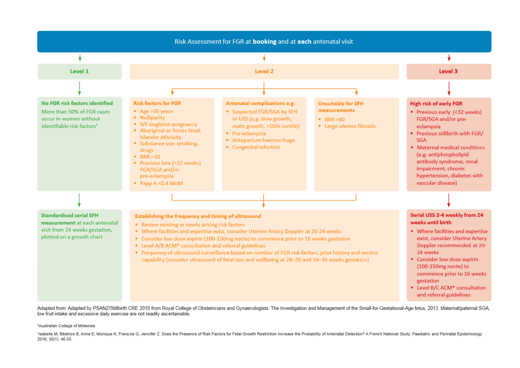

Adapted from: Adapted by PSANZ/Stillbirth CRE 2018 from Royal College of Obstetricians and Gynaecologists. The Investigation and Management of the Small-for-Gestational-Age fetus, 2013. Maternal/paternal SGA, low fruit intake and excessive daily exercise are not readily ascertainable.

#### \*Australian College of Midwives

'Isabelle M, Béatrice B, Anne E, Monique K, François G, Jennifer Z. Does the Presence of Risk Factors for Fetal Growth Restriction Increase the Probability of Antenatal Detection? A French National Study. Paediatric and Pe 2016; 30(1): 46-55.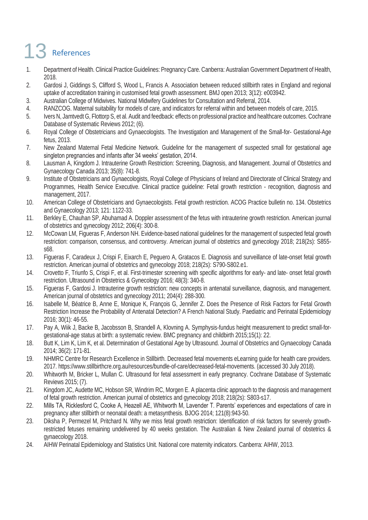# 13 References

- 1. Department of Health. Clinical Practice Guidelines: Pregnancy Care. Canberra: Australian Government Department of Health, 2018.
- 2. Gardosi J, Giddings S, Clifford S, Wood L, Francis A. Association between reduced stillbirth rates in England and regional uptake of accreditation training in customised fetal growth assessment. BMJ open 2013; 3(12): e003942.
- 3. Australian College of Midwives. National Midwifery Guidelines for Consultation and Referral, 2014.
- 4. RANZCOG. Maternal suitability for models of care, and indicators for referral within and between models of care, 2015.
- 5. Ivers N, Jamtvedt G, Flottorp S, et al. Audit and feedback: effects on professional practice and healthcare outcomes. Cochrane Database of Systematic Reviews 2012; (6).
- 6. Royal College of Obstetricians and Gynaecologists. The Investigation and Management of the Small-for- Gestational-Age fetus, 2013.
- 7. New Zealand Maternal Fetal Medicine Network. Guideline for the management of suspected small for gestational age singleton pregnancies and infants after 34 weeks' gestation, 2014.
- 8. Lausman A, Kingdom J. Intrauterine Growth Restriction: Screening, Diagnosis, and Management. Journal of Obstetrics and Gynaecology Canada 2013; 35(8): 741-8.
- 9. Institute of Obstetricians and Gynaecologists, Royal College of Physicians of Ireland and Directorate of Clinical Strategy and Programmes, Health Service Executive. Clinical practice guideline: Fetal growth restriction - recognition, diagnosis and management, 2017.
- 10. American College of Obstetricians and Gynaecologists. Fetal growth restriction. ACOG Practice bulletin no. 134. Obstetrics and Gynaecology 2013; 121: 1122-33.
- 11. Berkley E, Chauhan SP, Abuhamad A. Doppler assessment of the fetus with intrauterine growth restriction. American journal of obstetrics and gynecology 2012; 206(4): 300-8.
- 12. McCowan LM, Figueras F, Anderson NH. Evidence-based national guidelines for the management of suspected fetal growth restriction: comparison, consensus, and controversy. American journal of obstetrics and gynecology 2018; 218(2s): S855 s68.
- 13. Figueras F, Caradeux J, Crispi F, Eixarch E, Peguero A, Gratacos E. Diagnosis and surveillance of late-onset fetal growth restriction. American journal of obstetrics and gynecology 2018; 218(2s): S790-S802.e1.
- 14. Crovetto F, Triunfo S, Crispi F, et al. First-trimester screening with specific algorithms for early- and late- onset fetal growth restriction. Ultrasound in Obstetrics & Gynecology 2016; 48(3): 340-8.
- 15. Figueras F, Gardosi J. Intrauterine growth restriction: new concepts in antenatal surveillance, diagnosis, and management. American journal of obstetrics and gynecology 2011; 204(4): 288-300.
- 16. Isabelle M, Béatrice B, Anne E, Monique K, François G, Jennifer Z. Does the Presence of Risk Factors for Fetal Growth Restriction Increase the Probability of Antenatal Detection? A French National Study. Paediatric and Perinatal Epidemiology 2016; 30(1): 46-55.
- 17. Pay A, Wiik J, Backe B, Jacobsson B, Strandell A, Klovning A. Symphysis-fundus height measurement to predict small-forgestational-age status at birth: a systematic review. BMC pregnancy and childbirth 2015;15(1): 22.
- 18. Butt K, Lim K, Lim K, et al. Determination of Gestational Age by Ultrasound. Journal of Obstetrics and Gynaecology Canada 2014; 36(2): 171-81.
- 19. NHMRC Centre for Research Excellence in Stillbirth. Decreased fetal movements eLearning guide for health care providers. 2017. https://www.stillbirthcre.org.au/resources/bundle-of-care/decreased-fetal-movements. (accessed 30 July 2018).
- 20. Whitworth M, Bricker L, Mullan C. Ultrasound for fetal assessment in early pregnancy. Cochrane Database of Systematic Reviews 2015; (7).
- 21. Kingdom JC, Audette MC, Hobson SR, Windrim RC, Morgen E. A placenta clinic approach to the diagnosis and management of fetal growth restriction. American journal of obstetrics and gynecology 2018; 218(2s): S803-s17.
- 22. Mills TA, Ricklesford C, Cooke A, Heazell AE, Whitworth M, Lavender T. Parents' experiences and expectations of care in pregnancy after stillbirth or neonatal death: a metasynthesis. BJOG 2014; 121(8):943-50.
- 23. Diksha P, Permezel M, Pritchard N. Why we miss fetal growth restriction: Identification of risk factors for severely growthrestricted fetuses remaining undelivered by 40 weeks gestation. The Australian & New Zealand journal of obstetrics & gynaecology 2018.
- 24. AIHW Perinatal Epidemiology and Statistics Unit. National core maternity indicators. Canberra: AIHW, 2013.